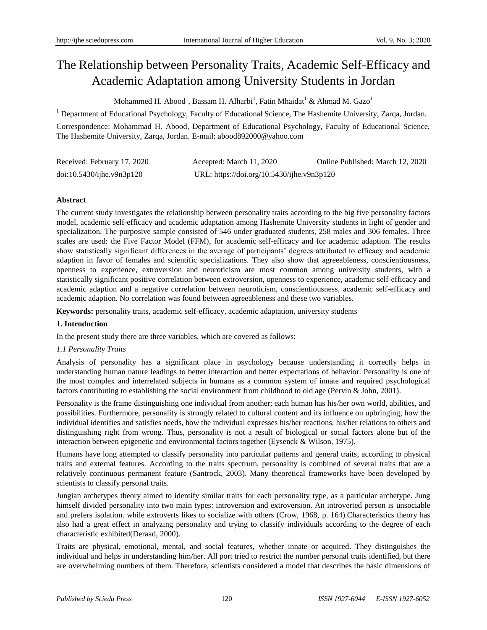# The Relationship between Personality Traits, Academic Self-Efficacy and Academic Adaptation among University Students in Jordan

Mohammed H. Abood<sup>1</sup>, Bassam H. Alharbi<sup>1</sup>, Fatin Mhaidat<sup>1</sup> & Ahmad M. Gazo<sup>1</sup>

<sup>1</sup> Department of Educational Psychology, Faculty of Educational Science, The Hashemite University, Zarqa, Jordan.

Correspondence: Mohammad H. Abood, Department of Educational Psychology, Faculty of Educational Science, The Hashemite University, Zarqa, Jordan. E-mail: abood892000@yahoo.com

| Received: February 17, 2020 | Accepted: March 11, 2020                   | Online Published: March 12, 2020 |
|-----------------------------|--------------------------------------------|----------------------------------|
| doi:10.5430/jhe.v9n3p120    | URL: https://doi.org/10.5430/ijhe.v9n3p120 |                                  |

# **Abstract**

The current study investigates the relationship between personality traits according to the big five personality factors model, academic self-efficacy and academic adaptation among Hashemite University students in light of gender and specialization. The purposive sample consisted of 546 under graduated students, 258 males and 306 females. Three scales are used: the Five Factor Model (FFM), for academic self-efficacy and for academic adaption. The results show statistically significant differences in the average of participants' degrees attributed to efficacy and academic adaption in favor of females and scientific specializations. They also show that agreeableness, conscientiousness, openness to experience, extroversion and neuroticism are most common among university students, with a statistically significant positive correlation between extroversion, openness to experience, academic self-efficacy and academic adaption and a negative correlation between neuroticism, conscientiousness, academic self-efficacy and academic adaption. No correlation was found between agreeableness and these two variables.

**Keywords:** personality traits, academic self-efficacy, academic adaptation, university students

# **1. Introduction**

In the present study there are three variables, which are covered as follows:

# *1.1 Personality Traits*

Analysis of personality has a significant place in psychology because understanding it correctly helps in understanding human nature leadings to better interaction and better expectations of behavior. Personality is one of the most complex and interrelated subjects in humans as a common system of innate and required psychological factors contributing to establishing the social environment from childhood to old age (Pervin & John, 2001).

Personality is the frame distinguishing one individual from another; each human has his/her own world, abilities, and possibilities. Furthermore, personality is strongly related to cultural content and its influence on upbringing, how the individual identifies and satisfies needs, how the individual expresses his/her reactions, his/her relations to others and distinguishing right from wrong. Thus, personality is not a result of biological or social factors alone but of the interaction between epigenetic and environmental factors together (Eysenck & Wilson, 1975).

Humans have long attempted to classify personality into particular patterns and general traits, according to physical traits and external features. According to the traits spectrum, personality is combined of several traits that are a relatively continuous permanent feature (Santrock, 2003). Many theoretical frameworks have been developed by scientists to classify personal traits.

Jungian archetypes theory aimed to identify similar traits for each personality type, as a particular archetype. Jung himself divided personality into two main types: introversion and extroversion. An introverted person is unsociable and prefers isolation. while extroverts likes to socialize with others (Crow, 1968, p. 164).Characteristics theory has also had a great effect in analyzing personality and trying to classify individuals according to the degree of each characteristic exhibited(Deraad, 2000).

Traits are physical, emotional, mental, and social features, whether innate or acquired. They distinguishes the individual and helps in understanding him/her. All port tried to restrict the number personal traits identified, but there are overwhelming numbers of them. Therefore, scientists considered a model that describes the basic dimensions of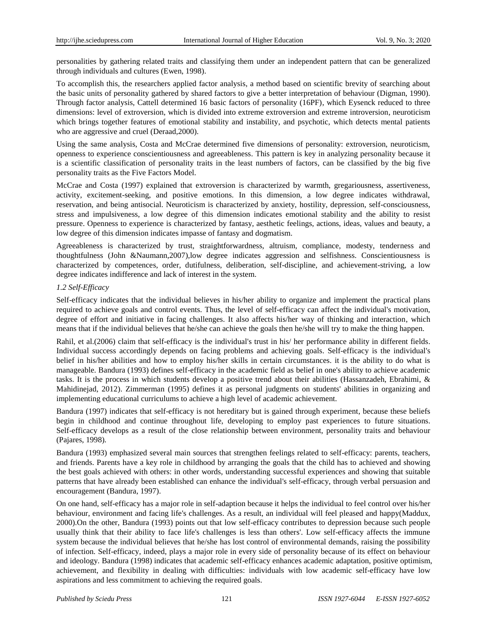personalities by gathering related traits and classifying them under an independent pattern that can be generalized through individuals and cultures (Ewen, 1998).

To accomplish this, the researchers applied factor analysis, a method based on scientific brevity of searching about the basic units of personality gathered by shared factors to give a better interpretation of behaviour (Digman, 1990). Through factor analysis, Cattell determined 16 basic factors of personality (16PF), which Eysenck reduced to three dimensions: level of extroversion, which is divided into extreme extroversion and extreme introversion, neuroticism which brings together features of emotional stability and instability, and psychotic, which detects mental patients who are aggressive and cruel (Deraad,2000).

Using the same analysis, Costa and McCrae determined five dimensions of personality: extroversion, neuroticism, openness to experience conscientiousness and agreeableness. This pattern is key in analyzing personality because it is a scientific classification of personality traits in the least numbers of factors, can be classified by the big five personality traits as the Five Factors Model.

McCrae and Costa (1997) explained that extroversion is characterized by warmth, gregariousness, assertiveness, activity, excitement-seeking, and positive emotions. In this dimension, a low degree indicates withdrawal, reservation, and being antisocial. Neuroticism is characterized by anxiety, hostility, depression, self-consciousness, stress and impulsiveness, a low degree of this dimension indicates emotional stability and the ability to resist pressure. Openness to experience is characterized by fantasy, aesthetic feelings, actions, ideas, values and beauty, a low degree of this dimension indicates impasse of fantasy and dogmatism.

Agreeableness is characterized by trust, straightforwardness, altruism, compliance, modesty, tenderness and thoughtfulness (John &Naumann,2007),low degree indicates aggression and selfishness. Conscientiousness is characterized by competences, order, dutifulness, deliberation, self-discipline, and achievement-striving, a low degree indicates indifference and lack of interest in the system.

## *1.2 Self-Efficacy*

Self-efficacy indicates that the individual believes in his/her ability to organize and implement the practical plans required to achieve goals and control events. Thus, the level of self-efficacy can affect the individual's motivation, degree of effort and initiative in facing challenges. It also affects his/her way of thinking and interaction, which means that if the individual believes that he/she can achieve the goals then he/she will try to make the thing happen.

Rahil, et al.(2006) claim that self-efficacy is the individual's trust in his/ her performance ability in different fields. Individual success accordingly depends on facing problems and achieving goals. Self-efficacy is the individual's belief in his/her abilities and how to employ his/her skills in certain circumstances. it is the ability to do what is manageable. Bandura (1993) defines self-efficacy in the academic field as belief in one's ability to achieve academic tasks. It is the process in which students develop a positive trend about their abilities (Hassanzadeh, Ebrahimi, & Mahidinejad, 2012). Zimmerman (1995) defines it as personal judgments on students' abilities in organizing and implementing educational curriculums to achieve a high level of academic achievement.

Bandura (1997) indicates that self-efficacy is not hereditary but is gained through experiment, because these beliefs begin in childhood and continue throughout life, developing to employ past experiences to future situations. Self-efficacy develops as a result of the close relationship between environment, personality traits and behaviour (Pajares, 1998).

Bandura (1993) emphasized several main sources that strengthen feelings related to self-efficacy: parents, teachers, and friends. Parents have a key role in childhood by arranging the goals that the child has to achieved and showing the best goals achieved with others: in other words, understanding successful experiences and showing that suitable patterns that have already been established can enhance the individual's self-efficacy, through verbal persuasion and encouragement (Bandura, 1997).

On one hand, self-efficacy has a major role in self-adaption because it helps the individual to feel control over his/her behaviour, environment and facing life's challenges. As a result, an individual will feel pleased and happy(Maddux, 2000).On the other, Bandura (1993) points out that low self-efficacy contributes to depression because such people usually think that their ability to face life's challenges is less than others'. Low self-efficacy affects the immune system because the individual believes that he/she has lost control of environmental demands, raising the possibility of infection. Self-efficacy, indeed, plays a major role in every side of personality because of its effect on behaviour and ideology. Bandura (1998) indicates that academic self-efficacy enhances academic adaptation, positive optimism, achievement, and flexibility in dealing with difficulties: individuals with low academic self-efficacy have low aspirations and less commitment to achieving the required goals.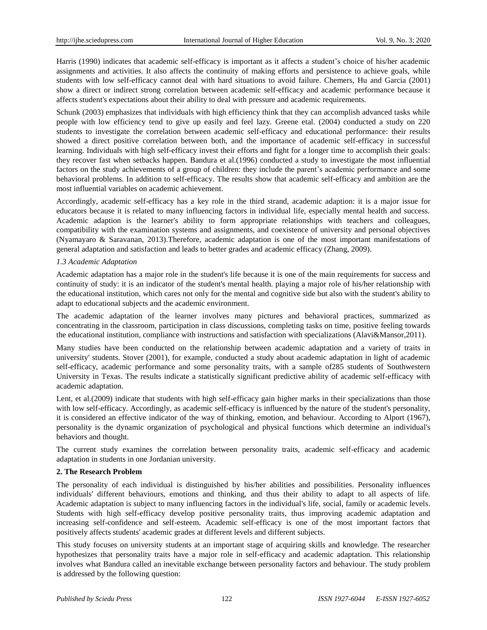Harris (1990) indicates that academic self-efficacy is important as it affects a student's choice of his/her academic assignments and activities. It also affects the continuity of making efforts and persistence to achieve goals, while students with low self-efficacy cannot deal with hard situations to avoid failure. Chemers, Hu and Garcia (2001) show a direct or indirect strong correlation between academic self-efficacy and academic performance because it affects student's expectations about their ability to deal with pressure and academic requirements.

Schunk (2003) emphasizes that individuals with high efficiency think that they can accomplish advanced tasks while people with low efficiency tend to give up easily and feel lazy. Greene etal. (2004) conducted a study on 220 students to investigate the correlation between academic self-efficacy and educational performance: their results showed a direct positive correlation between both, and the importance of academic self-efficacy in successful learning. Individuals with high self-efficacy invest their efforts and fight for a longer time to accomplish their goals: they recover fast when setbacks happen. Bandura et al.(1996) conducted a study to investigate the most influential factors on the study achievements of a group of children: they include the parent's academic performance and some behavioral problems. In addition to self-efficacy. The results show that academic self-efficacy and ambition are the most influential variables on academic achievement.

Accordingly, academic self-efficacy has a key role in the third strand, academic adaption: it is a major issue for educators because it is related to many influencing factors in individual life, especially mental health and success. Academic adaption is the learner's ability to form appropriate relationships with teachers and colleagues, compatibility with the examination systems and assignments, and coexistence of university and personal objectives (Nyamayaro & Saravanan, 2013).Therefore, academic adaptation is one of the most important manifestations of general adaptation and satisfaction and leads to better grades and academic efficacy (Zhang, 2009).

## *1.3 Academic Adaptation*

Academic adaptation has a major role in the student's life because it is one of the main requirements for success and continuity of study: it is an indicator of the student's mental health. playing a major role of his/her relationship with the educational institution, which cares not only for the mental and cognitive side but also with the student's ability to adapt to educational subjects and the academic environment.

The academic adaptation of the learner involves many pictures and behavioral practices, summarized as concentrating in the classroom, participation in class discussions, completing tasks on time, positive feeling towards the educational institution, compliance with instructions and satisfaction with specializations (Alavi&Mansor,2011).

Many studies have been conducted on the relationship between academic adaptation and a variety of traits in university' students. Stover (2001), for example, conducted a study about academic adaptation in light of academic self-efficacy, academic performance and some personality traits, with a sample of285 students of Southwestern University in Texas. The results indicate a statistically significant predictive ability of academic self-efficacy with academic adaptation.

Lent, et al.(2009) indicate that students with high self-efficacy gain higher marks in their specializations than those with low self-efficacy. Accordingly, as academic self-efficacy is influenced by the nature of the student's personality, it is considered an effective indicator of the way of thinking, emotion, and behaviour. According to Alport (1967), personality is the dynamic organization of psychological and physical functions which determine an individual's behaviors and thought.

The current study examines the correlation between personality traits, academic self-efficacy and academic adaptation in students in one Jordanian university.

# **2. The Research Problem**

The personality of each individual is distinguished by his/her abilities and possibilities. Personality influences individuals' different behaviours, emotions and thinking, and thus their ability to adapt to all aspects of life. Academic adaptation is subject to many influencing factors in the individual's life, social, family or academic levels. Students with high self-efficacy develop positive personality traits, thus improving academic adaptation and increasing self-confidence and self-esteem. Academic self-efficacy is one of the most important factors that positively affects students' academic grades at different levels and different subjects.

This study focuses on university students at an important stage of acquiring skills and knowledge. The researcher hypothesizes that personality traits have a major role in self-efficacy and academic adaptation. This relationship involves what Bandura called an inevitable exchange between personality factors and behaviour. The study problem is addressed by the following question: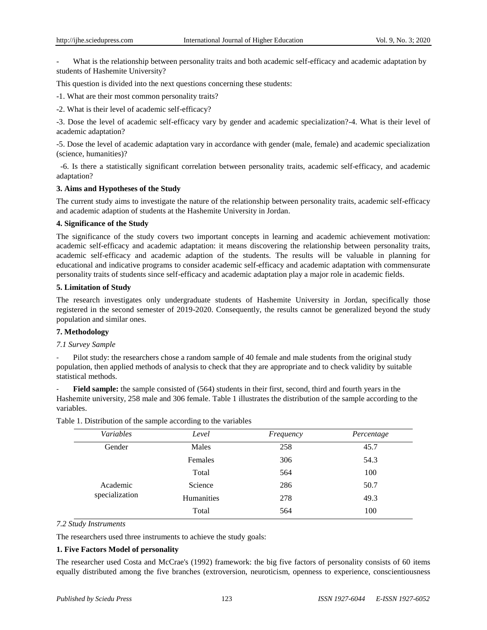What is the relationship between personality traits and both academic self-efficacy and academic adaptation by students of Hashemite University?

This question is divided into the next questions concerning these students:

-1. What are their most common personality traits?

-2. What is their level of academic self-efficacy?

-3. Dose the level of academic self-efficacy vary by gender and academic specialization?-4. What is their level of academic adaptation?

-5. Dose the level of academic adaptation vary in accordance with gender (male, female) and academic specialization (science, humanities)?

-6. Is there a statistically significant correlation between personality traits, academic self-efficacy, and academic adaptation?

## **3. Aims and Hypotheses of the Study**

The current study aims to investigate the nature of the relationship between personality traits, academic self-efficacy and academic adaption of students at the Hashemite University in Jordan.

## **4. Significance of the Study**

The significance of the study covers two important concepts in learning and academic achievement motivation: academic self-efficacy and academic adaptation: it means discovering the relationship between personality traits, academic self-efficacy and academic adaption of the students. The results will be valuable in planning for educational and indicative programs to consider academic self-efficacy and academic adaptation with commensurate personality traits of students since self-efficacy and academic adaptation play a major role in academic fields.

## **5. Limitation of Study**

The research investigates only undergraduate students of Hashemite University in Jordan, specifically those registered in the second semester of 2019-2020. Consequently, the results cannot be generalized beyond the study population and similar ones.

# **7. Methodology**

## *7.1 Survey Sample*

Pilot study: the researchers chose a random sample of 40 female and male students from the original study population, then applied methods of analysis to check that they are appropriate and to check validity by suitable statistical methods.

Field sample: the sample consisted of (564) students in their first, second, third and fourth years in the Hashemite university, 258 male and 306 female. Table 1 illustrates the distribution of the sample according to the variables.

| Variables      | Level      | Frequency | Percentage |
|----------------|------------|-----------|------------|
| Gender         | Males      | 258       | 45.7       |
|                | Females    | 306       | 54.3       |
|                | Total      | 564       | 100        |
| Academic       | Science    | 286       | 50.7       |
| specialization | Humanities | 278       | 49.3       |
|                | Total      | 564       | 100        |

Table 1. Distribution of the sample according to the variables

## *7.2 Study Instruments*

The researchers used three instruments to achieve the study goals:

## **1. Five Factors Model of personality**

The researcher used Costa and McCrae's (1992) framework: the big five factors of personality consists of 60 items equally distributed among the five branches (extroversion, neuroticism, openness to experience, conscientiousness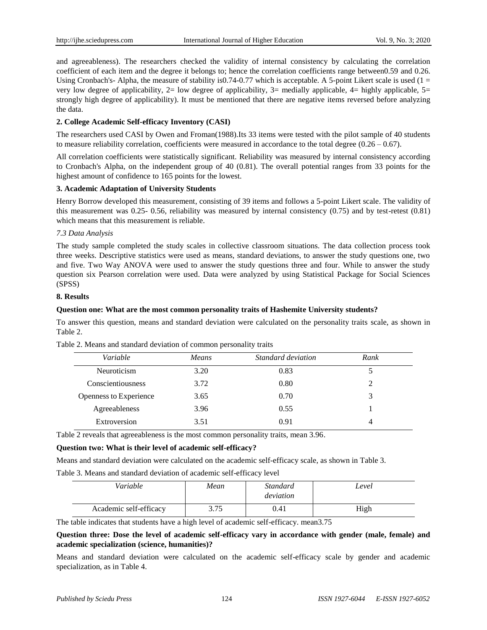and agreeableness). The researchers checked the validity of internal consistency by calculating the correlation coefficient of each item and the degree it belongs to; hence the correlation coefficients range between0.59 and 0.26. Using Cronbach's- Alpha, the measure of stability is0.74-0.77 which is acceptable. A 5-point Likert scale is used  $(1 =$ very low degree of applicability,  $2=$  low degree of applicability,  $3=$  medially applicable,  $4=$  highly applicable,  $5=$ strongly high degree of applicability). It must be mentioned that there are negative items reversed before analyzing the data.

# **2. College Academic Self-efficacy Inventory (CASI)**

The researchers used CASI by Owen and Froman(1988).Its 33 items were tested with the pilot sample of 40 students to measure reliability correlation, coefficients were measured in accordance to the total degree  $(0.26 - 0.67)$ .

All correlation coefficients were statistically significant. Reliability was measured by internal consistency according to Cronbach's Alpha, on the independent group of 40 (0.81). The overall potential ranges from 33 points for the highest amount of confidence to 165 points for the lowest.

# **3. Academic Adaptation of University Students**

Henry Borrow developed this measurement, consisting of 39 items and follows a 5-point Likert scale. The validity of this measurement was 0.25- 0.56, reliability was measured by internal consistency (0.75) and by test-retest (0.81) which means that this measurement is reliable.

## *7.3 Data Analysis*

The study sample completed the study scales in collective classroom situations. The data collection process took three weeks. Descriptive statistics were used as means, standard deviations, to answer the study questions one, two and five. Two Way ANOVA were used to answer the study questions three and four. While to answer the study question six Pearson correlation were used. Data were analyzed by using Statistical Package for Social Sciences (SPSS)

## **8. Results**

## **Question one: What are the most common personality traits of Hashemite University students?**

To answer this question, means and standard deviation were calculated on the personality traits scale, as shown in Table 2.

| Variable               | <b>Means</b> | Standard deviation | Rank |
|------------------------|--------------|--------------------|------|
| Neuroticism            | 3.20         | 0.83               |      |
| Conscientiousness      | 3.72         | 0.80               |      |
| Openness to Experience | 3.65         | 0.70               |      |
| Agreeableness          | 3.96         | 0.55               |      |
| Extroversion           | 3.51         | 0.91               | 4    |

Table 2. Means and standard deviation of common personality traits

Table 2 reveals that agreeableness is the most common personality traits, mean 3.96.

## **Question two: What is their level of academic self-efficacy?**

Means and standard deviation were calculated on the academic self-efficacy scale, as shown in Table 3.

Table 3. Means and standard deviation of academic self-efficacy level

| Variable               | Mean | Standard<br>deviation | Level |
|------------------------|------|-----------------------|-------|
| Academic self-efficacy | 3.75 | 0.41                  | High  |

The table indicates that students have a high level of academic self-efficacy. mean3.75

**Question three: Dose the level of academic self-efficacy vary in accordance with gender (male, female) and academic specialization (science, humanities)?**

Means and standard deviation were calculated on the academic self-efficacy scale by gender and academic specialization, as in Table 4.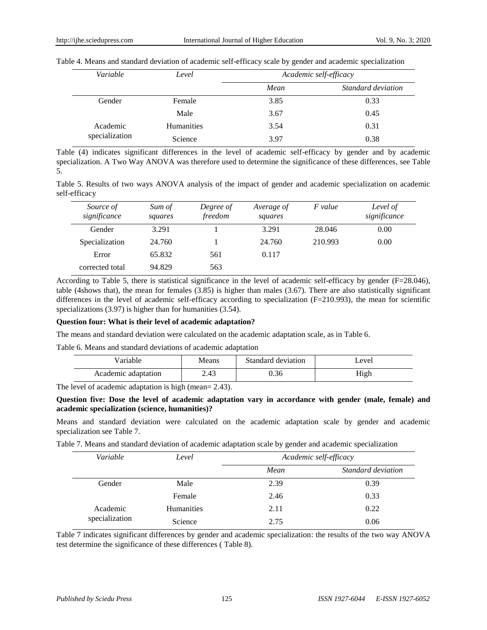|  |  | Table 4. Means and standard deviation of academic self-efficacy scale by gender and academic specialization |
|--|--|-------------------------------------------------------------------------------------------------------------|
|  |  |                                                                                                             |

| Variable       | Level             | Academic self-efficacy |                    |  |
|----------------|-------------------|------------------------|--------------------|--|
|                |                   | Mean                   | Standard deviation |  |
| Gender         | Female            | 3.85                   | 0.33               |  |
|                | Male              | 3.67                   | 0.45               |  |
| Academic       | <b>Humanities</b> | 3.54                   | 0.31               |  |
| specialization | Science           | 3.97                   | 0.38               |  |

Table (4) indicates significant differences in the level of academic self-efficacy by gender and by academic specialization. A Two Way ANOVA was therefore used to determine the significance of these differences, see Table 5.

Table 5. Results of two ways ANOVA analysis of the impact of gender and academic specialization on academic self-efficacy

| Source of<br>significance | Sum of<br>squares | Degree of<br>freedom | Average of<br>squares | F value | Level of<br>significance |
|---------------------------|-------------------|----------------------|-----------------------|---------|--------------------------|
| Gender                    | 3.291             |                      | 3.291                 | 28.046  | 0.00                     |
| Specialization            | 24.760            |                      | 24.760                | 210.993 | 0.00                     |
| Error                     | 65.832            | 561                  | 0.117                 |         |                          |
| corrected total           | 94.829            | 563                  |                       |         |                          |

According to Table 5, there is statistical significance in the level of academic self-efficacy by gender (F=28.046), table (4shows that), the mean for females (3.85) is higher than males (3.67). There are also statistically significant differences in the level of academic self-efficacy according to specialization (F=210.993), the mean for scientific specializations (3.97) is higher than for humanities (3.54).

## **Question four: What is their level of academic adaptation?**

The means and standard deviation were calculated on the academic adaptation scale, as in Table 6.

Table 6. Means and standard deviations of academic adaptation

| <i>l</i> ariable    | Means | Standard deviation | _evel |
|---------------------|-------|--------------------|-------|
| Academic adaptation | 2.43  | 0.36               | High  |

The level of academic adaptation is high (mean= 2.43).

## **Question five: Dose the level of academic adaptation vary in accordance with gender (male, female) and academic specialization (science, humanities)?**

Means and standard deviation were calculated on the academic adaptation scale by gender and academic specialization see Table 7.

Table 7. Means and standard deviation of academic adaptation scale by gender and academic specialization

| Variable       | Level             |      | Academic self-efficacy |
|----------------|-------------------|------|------------------------|
|                |                   | Mean | Standard deviation     |
| Gender         | Male              | 2.39 | 0.39                   |
|                | Female            | 2.46 | 0.33                   |
| Academic       | <b>Humanities</b> | 2.11 | 0.22                   |
| specialization | Science           | 2.75 | 0.06                   |

Table 7 indicates significant differences by gender and academic specialization: the results of the two way ANOVA test determine the significance of these differences ( Table 8).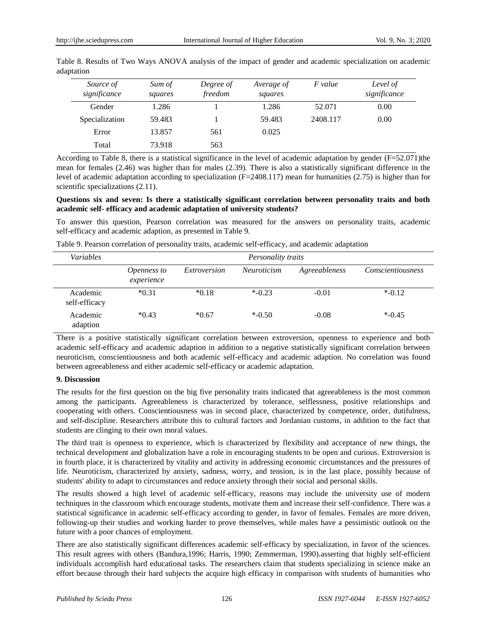| Source of<br>significance | Sum of<br>squares | Degree of<br>freedom | Average of<br>squares | F value  | Level of<br>significance |
|---------------------------|-------------------|----------------------|-----------------------|----------|--------------------------|
| Gender                    | 1.286             |                      | 1.286                 | 52.071   | 0.00                     |
| Specialization            | 59.483            |                      | 59.483                | 2408.117 | 0.00                     |
| Error                     | 13.857            | 561                  | 0.025                 |          |                          |
| Total                     | 73.918            | 563                  |                       |          |                          |

Table 8. Results of Two Ways ANOVA analysis of the impact of gender and academic specialization on academic adaptation

According to Table 8, there is a statistical significance in the level of academic adaptation by gender (F=52.071)the mean for females (2.46) was higher than for males (2.39). There is also a statistically significant difference in the level of academic adaptation according to specialization (F=2408.117) mean for humanities (2.75) is higher than for scientific specializations  $(2.11)$ .

## **Questions six and seven: Is there a statistically significant correlation between personality traits and both academic self- efficacy and academic adaptation of university students?**

To answer this question, Pearson correlation was measured for the answers on personality traits, academic self-efficacy and academic adaption, as presented in Table 9.

| <i>Variables</i>          | Personality traits        |              |                    |               |                          |
|---------------------------|---------------------------|--------------|--------------------|---------------|--------------------------|
|                           | Openness to<br>experience | Extroversion | <i>Neuroticism</i> | Agreeableness | <i>Conscientiousness</i> |
| Academic<br>self-efficacy | $*0.31$                   | $*0.18$      | $*$ -0.23          | $-0.01$       | $*$ -0.12                |
| Academic<br>adaption      | $*0.43$                   | $*0.67$      | $*$ -0.50          | $-0.08$       | $*$ -0.45                |

Table 9. Pearson correlation of personality traits, academic self-efficacy, and academic adaptation

There is a positive statistically significant correlation between extroversion, openness to experience and both academic self-efficacy and academic adaption in addition to a negative statistically significant correlation between neuroticism, conscientiousness and both academic self-efficacy and academic adaption. No correlation was found between agreeableness and either academic self-efficacy or academic adaptation.

# **9. Discussion**

The results for the first question on the big five personality traits indicated that agreeableness is the most common among the participants. Agreeableness is characterized by tolerance, selflessness, positive relationships and cooperating with others. Conscientiousness was in second place, characterized by competence, order, dutifulness, and self-discipline. Researchers attribute this to cultural factors and Jordanian customs, in addition to the fact that students are clinging to their own moral values.

The third trait is openness to experience, which is characterized by flexibility and acceptance of new things, the technical development and globalization have a role in encouraging students to be open and curious. Extroversion is in fourth place, it is characterized by vitality and activity in addressing economic circumstances and the pressures of life. Neuroticism, characterized by anxiety, sadness, worry, and tension, is in the last place, possibly because of students' ability to adapt to circumstances and reduce anxiety through their social and personal skills.

The results showed a high level of academic self-efficacy, reasons may include the university use of modern techniques in the classroom which encourage students, motivate them and increase their self-confidence. There was a statistical significance in academic self-efficacy according to gender, in favor of females. Females are more driven, following-up their studies and working harder to prove themselves, while males have a pessimistic outlook on the future with a poor chances of employment.

There are also statistically significant differences academic self-efficacy by specialization, in favor of the sciences. This result agrees with others (Bandura,1996; Harris, 1990; Zemmerman, 1990).asserting that highly self-efficient individuals accomplish hard educational tasks. The researchers claim that students specializing in science make an effort because through their hard subjects the acquire high efficacy in comparison with students of humanities who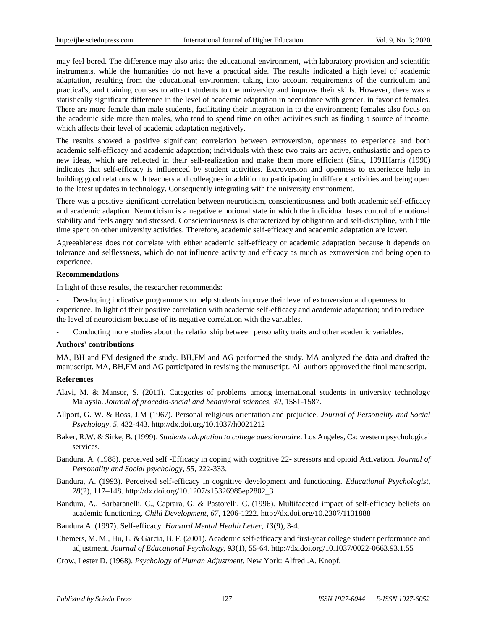may feel bored. The difference may also arise the educational environment, with laboratory provision and scientific instruments, while the humanities do not have a practical side. The results indicated a high level of academic adaptation, resulting from the educational environment taking into account requirements of the curriculum and practical's, and training courses to attract students to the university and improve their skills. However, there was a statistically significant difference in the level of academic adaptation in accordance with gender, in favor of females. There are more female than male students, facilitating their integration in to the environment; females also focus on the academic side more than males, who tend to spend time on other activities such as finding a source of income, which affects their level of academic adaptation negatively.

The results showed a positive significant correlation between extroversion, openness to experience and both academic self-efficacy and academic adaptation; individuals with these two traits are active, enthusiastic and open to new ideas, which are reflected in their self-realization and make them more efficient (Sink, 1991Harris (1990) indicates that self-efficacy is influenced by student activities. Extroversion and openness to experience help in building good relations with teachers and colleagues in addition to participating in different activities and being open to the latest updates in technology. Consequently integrating with the university environment.

There was a positive significant correlation between neuroticism, conscientiousness and both academic self-efficacy and academic adaption. Neuroticism is a negative emotional state in which the individual loses control of emotional stability and feels angry and stressed. Conscientiousness is characterized by obligation and self-discipline, with little time spent on other university activities. Therefore, academic self-efficacy and academic adaptation are lower.

Agreeableness does not correlate with either academic self-efficacy or academic adaptation because it depends on tolerance and selflessness, which do not influence activity and efficacy as much as extroversion and being open to experience.

## **Recommendations**

In light of these results, the researcher recommends:

Developing indicative programmers to help students improve their level of extroversion and openness to experience. In light of their positive correlation with academic self-efficacy and academic adaptation; and to reduce the level of neuroticism because of its negative correlation with the variables.

Conducting more studies about the relationship between personality traits and other academic variables.

## **Authors' contributions**

MA, BH and FM designed the study. BH,FM and AG performed the study. MA analyzed the data and drafted the manuscript. MA, BH,FM and AG participated in revising the manuscript. All authors approved the final manuscript.

## **References**

- Alavi, M. & Mansor, S. (2011). Categories of problems among international students in university technology Malaysia. *Journal of procedia-social and behavioral sciences, 30*, 1581-1587.
- Allport, G. W. & Ross, J.M (1967). Personal religious orientation and prejudice. *Journal of Personality and Social Psychology, 5*, 432-443. <http://dx.doi.org/10.1037/h0021212>
- Baker, R.W. & Sirke, B. (1999). *Students adaptation to college questionnaire*. Los Angeles, Ca: western psychological services.
- Bandura, A. (1988). perceived self -Efficacy in coping with cognitive 22- stressors and opioid Activation. *Journal of Personality and Social psychology, 55*, 222-333.
- Bandura, A. (1993). Perceived self-efficacy in cognitive development and functioning. *Educational Psychologist, 28*(2), 117–148. [http://dx.doi.org/10.1207/s15326985ep2802\\_3](http://dx.doi.org/10.1207/s15326985ep2802_3)
- Bandura, A., Barbaranelli, C., Caprara, G. & Pastorelli, C. (1996). Multifaceted impact of self-efficacy beliefs on academic functioning. *Child Development, 67*, 1206-1222. <http://dx.doi.org/10.2307/1131888>
- Bandura.A. (1997). Self-efficacy. *Harvard Mental Health Letter, 13*(9), 3-4.
- Chemers, M. M., Hu, L. & Garcia, B. F. (2001). Academic self-efficacy and first-year college student performance and adjustment. *Journal of Educational Psychology, 93*(1), 55-64. <http://dx.doi.org/10.1037/0022-0663.93.1.55>

Crow, Lester D. (1968). *Psychology of Human Adjustment*. New York: Alfred .A. Knopf.